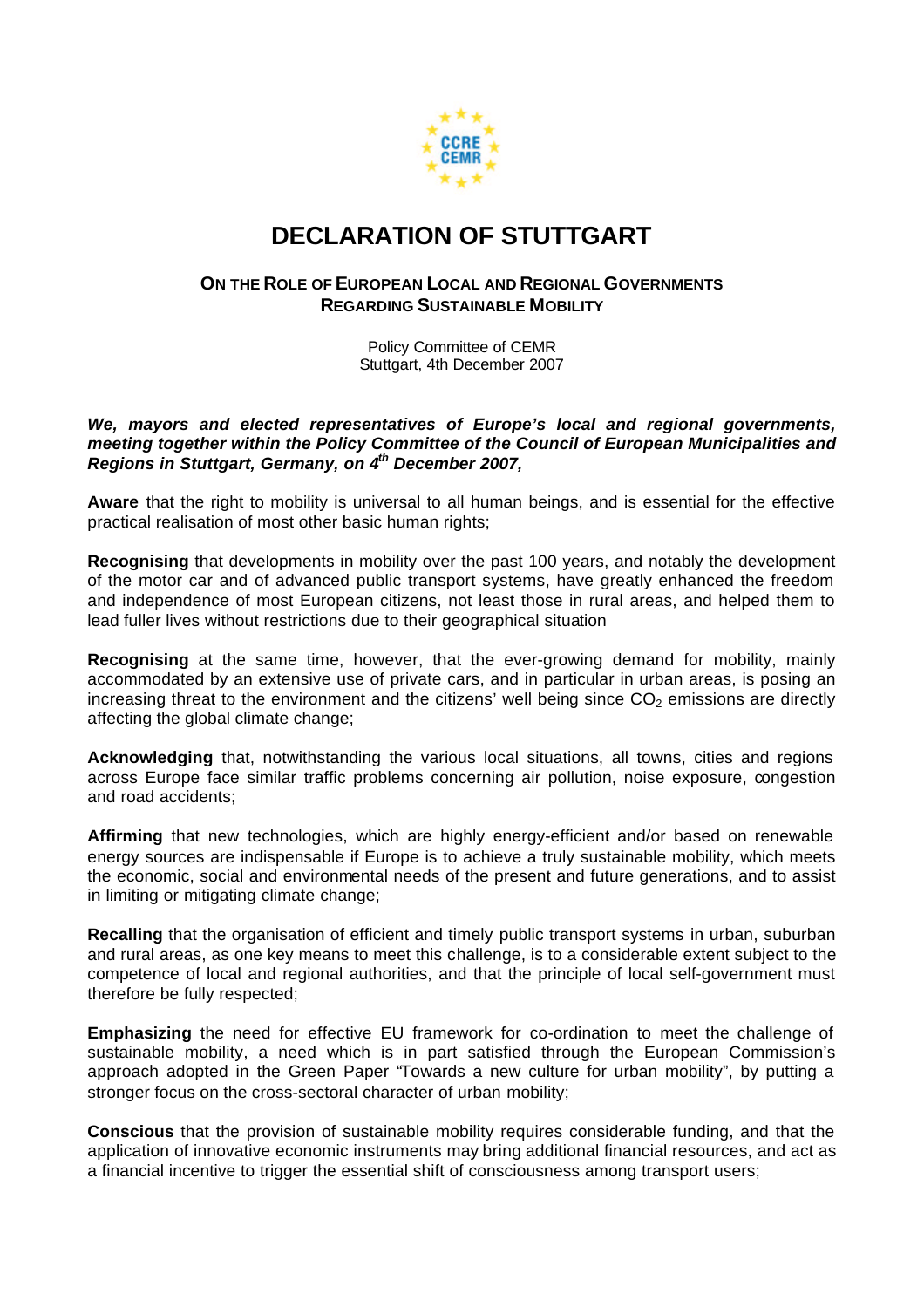

## **DECLARATION OF STUTTGART**

## **ON THE ROLE OF EUROPEAN LOCAL AND REGIONAL GOVERNMENTS REGARDING SUSTAINABLE MOBILITY**

Policy Committee of CEMR Stuttgart, 4th December 2007

## *We, mayors and elected representatives of Europe's local and regional governments, meeting together within the Policy Committee of the Council of European Municipalities and Regions in Stuttgart, Germany, on 4th December 2007,*

**Aware** that the right to mobility is universal to all human beings, and is essential for the effective practical realisation of most other basic human rights;

**Recognising** that developments in mobility over the past 100 years, and notably the development of the motor car and of advanced public transport systems, have greatly enhanced the freedom and independence of most European citizens, not least those in rural areas, and helped them to lead fuller lives without restrictions due to their geographical situation

**Recognising** at the same time, however, that the ever-growing demand for mobility, mainly accommodated by an extensive use of private cars, and in particular in urban areas, is posing an increasing threat to the environment and the citizens' well being since  $CO<sub>2</sub>$  emissions are directly affecting the global climate change;

**Acknowledging** that, notwithstanding the various local situations, all towns, cities and regions across Europe face similar traffic problems concerning air pollution, noise exposure, congestion and road accidents;

**Affirming** that new technologies, which are highly energy-efficient and/or based on renewable energy sources are indispensable if Europe is to achieve a truly sustainable mobility, which meets the economic, social and environmental needs of the present and future generations, and to assist in limiting or mitigating climate change;

**Recalling** that the organisation of efficient and timely public transport systems in urban, suburban and rural areas, as one key means to meet this challenge, is to a considerable extent subject to the competence of local and regional authorities, and that the principle of local self-government must therefore be fully respected;

**Emphasizing** the need for effective EU framework for co-ordination to meet the challenge of sustainable mobility, a need which is in part satisfied through the European Commission's approach adopted in the Green Paper "Towards a new culture for urban mobility", by putting a stronger focus on the cross-sectoral character of urban mobility;

**Conscious** that the provision of sustainable mobility requires considerable funding, and that the application of innovative economic instruments may bring additional financial resources, and act as a financial incentive to trigger the essential shift of consciousness among transport users;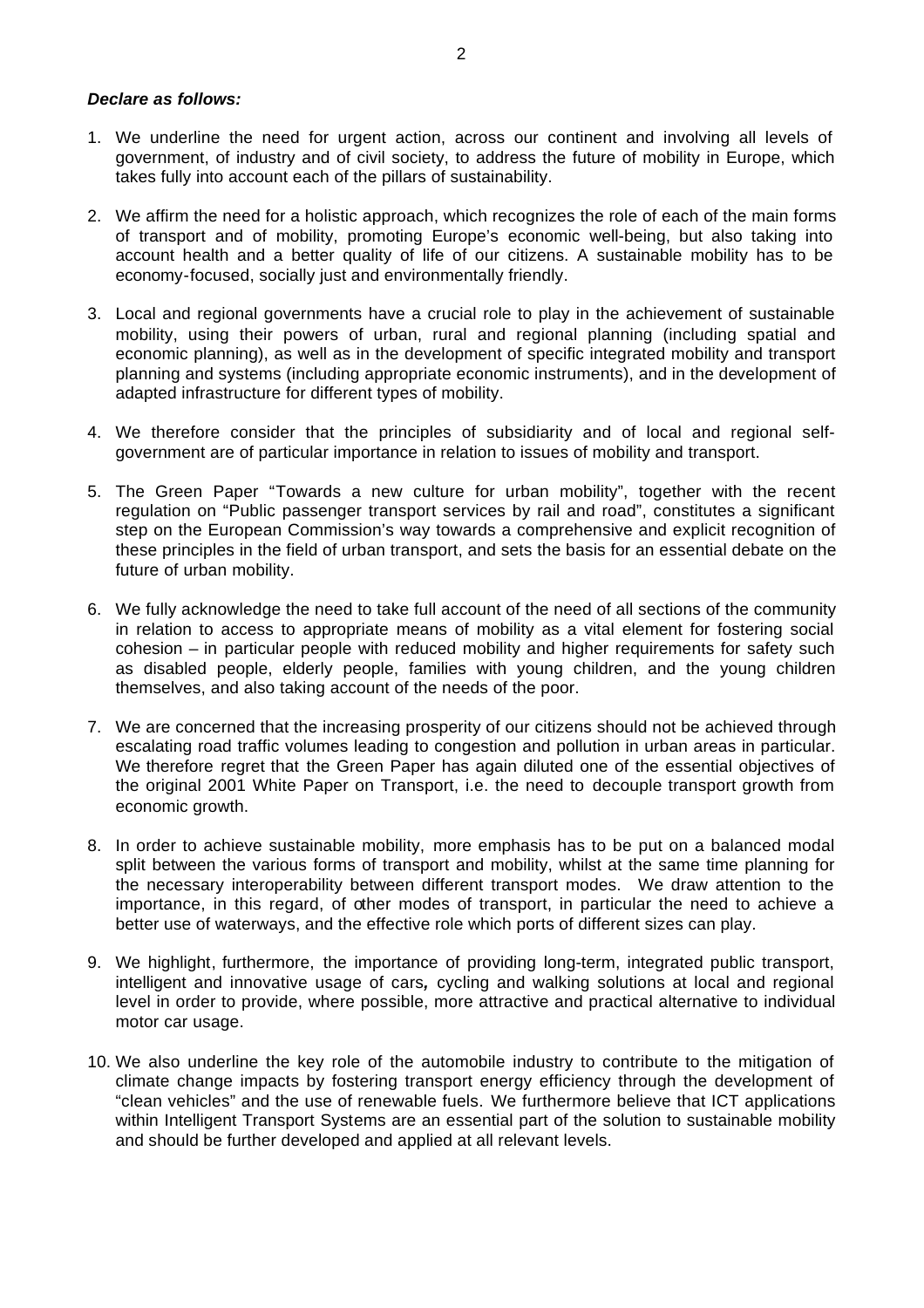## *Declare as follows:*

- 1. We underline the need for urgent action, across our continent and involving all levels of government, of industry and of civil society, to address the future of mobility in Europe, which takes fully into account each of the pillars of sustainability.
- 2. We affirm the need for a holistic approach, which recognizes the role of each of the main forms of transport and of mobility, promoting Europe's economic well-being, but also taking into account health and a better quality of life of our citizens. A sustainable mobility has to be economy-focused, socially just and environmentally friendly.
- 3. Local and regional governments have a crucial role to play in the achievement of sustainable mobility, using their powers of urban, rural and regional planning (including spatial and economic planning), as well as in the development of specific integrated mobility and transport planning and systems (including appropriate economic instruments), and in the development of adapted infrastructure for different types of mobility.
- 4. We therefore consider that the principles of subsidiarity and of local and regional selfgovernment are of particular importance in relation to issues of mobility and transport.
- 5. The Green Paper "Towards a new culture for urban mobility", together with the recent regulation on "Public passenger transport services by rail and road", constitutes a significant step on the European Commission's way towards a comprehensive and explicit recognition of these principles in the field of urban transport, and sets the basis for an essential debate on the future of urban mobility.
- 6. We fully acknowledge the need to take full account of the need of all sections of the community in relation to access to appropriate means of mobility as a vital element for fostering social cohesion – in particular people with reduced mobility and higher requirements for safety such as disabled people, elderly people, families with young children, and the young children themselves, and also taking account of the needs of the poor.
- 7. We are concerned that the increasing prosperity of our citizens should not be achieved through escalating road traffic volumes leading to congestion and pollution in urban areas in particular. We therefore regret that the Green Paper has again diluted one of the essential objectives of the original 2001 White Paper on Transport, i.e. the need to decouple transport growth from economic growth.
- 8. In order to achieve sustainable mobility, more emphasis has to be put on a balanced modal split between the various forms of transport and mobility, whilst at the same time planning for the necessary interoperability between different transport modes. We draw attention to the importance, in this regard, of other modes of transport, in particular the need to achieve a better use of waterways, and the effective role which ports of different sizes can play.
- 9. We highlight, furthermore, the importance of providing long-term, integrated public transport, intelligent and innovative usage of cars*,* cycling and walking solutions at local and regional level in order to provide, where possible, more attractive and practical alternative to individual motor car usage.
- 10. We also underline the key role of the automobile industry to contribute to the mitigation of climate change impacts by fostering transport energy efficiency through the development of "clean vehicles" and the use of renewable fuels. We furthermore believe that ICT applications within Intelligent Transport Systems are an essential part of the solution to sustainable mobility and should be further developed and applied at all relevant levels.